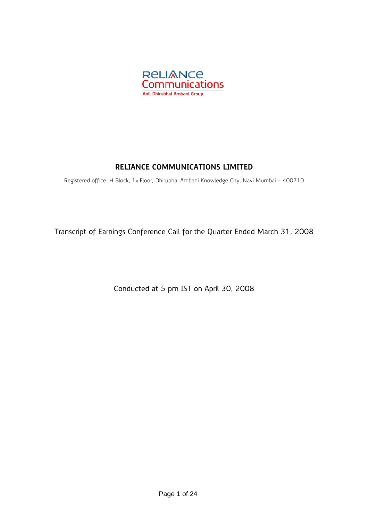

# **RELIANCE COMMUNICATIONS LIMITED**

Registered office: H Block, 1st Floor, Dhirubhai Ambani Knowledge City, Navi Mumbai - 400710

Transcript of Earnings Conference Call for the Quarter Ended March 31, 2008

Conducted at 5 pm IST on April 30, 2008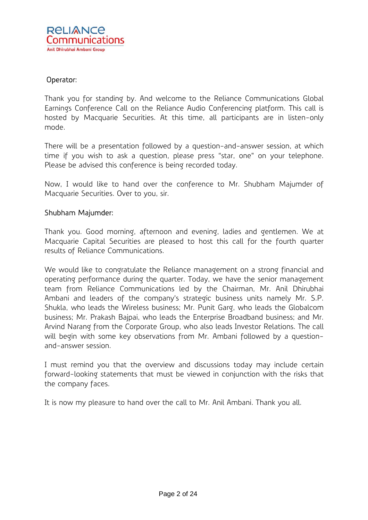# Operator:

Thank you for standing by. And welcome to the Reliance Communications Global Earnings Conference Call on the Reliance Audio Conferencing platform. This call is hosted by Macquarie Securities. At this time, all participants are in listen-only mode.

There will be a presentation followed by a question-and-answer session, at which time if you wish to ask a question, please press "star, one" on your telephone. Please be advised this conference is being recorded today.

Now, I would like to hand over the conference to Mr. Shubham Majumder of Macquarie Securities. Over to you, sir.

### Shubham Majumder:

Thank you. Good morning, afternoon and evening, ladies and gentlemen. We at Macquarie Capital Securities are pleased to host this call for the fourth quarter results of Reliance Communications.

We would like to congratulate the Reliance management on a strong financial and operating performance during the quarter. Today, we have the senior management team from Reliance Communications led by the Chairman, Mr. Anil Dhirubhai Ambani and leaders of the company's strategic business units namely Mr. S.P. Shukla, who leads the Wireless business; Mr. Punit Garg, who leads the Globalcom business; Mr. Prakash Bajpai, who leads the Enterprise Broadband business; and Mr. Arvind Narang from the Corporate Group, who also leads Investor Relations. The call will begin with some key observations from Mr. Ambani followed by a questionand-answer session.

I must remind you that the overview and discussions today may include certain forward-looking statements that must be viewed in conjunction with the risks that the company faces.

It is now my pleasure to hand over the call to Mr. Anil Ambani. Thank you all.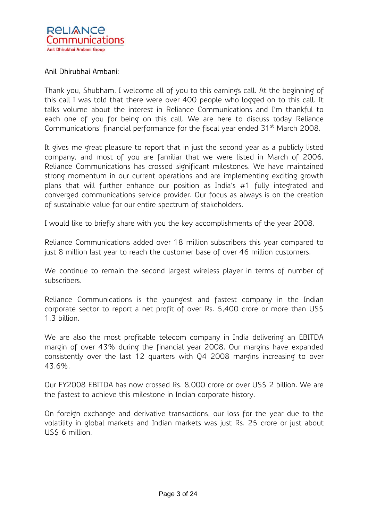

Thank you, Shubham. I welcome all of you to this earnings call. At the beginning of this call I was told that there were over 400 people who logged on to this call. It talks volume about the interest in Reliance Communications and I'm thankful to each one of you for being on this call. We are here to discuss today Reliance Communications' financial performance for the fiscal year ended 31<sup>st</sup> March 2008.

It gives me great pleasure to report that in just the second year as a publicly listed company, and most of you are familiar that we were listed in March of 2006, Reliance Communications has crossed significant milestones. We have maintained strong momentum in our current operations and are implementing exciting growth plans that will further enhance our position as India's #1 fully integrated and converged communications service provider. Our focus as always is on the creation of sustainable value for our entire spectrum of stakeholders.

I would like to briefly share with you the key accomplishments of the year 2008.

Reliance Communications added over 18 million subscribers this year compared to just 8 million last year to reach the customer base of over 46 million customers.

We continue to remain the second largest wireless player in terms of number of subscribers.

Reliance Communications is the youngest and fastest company in the Indian corporate sector to report a net profit of over Rs. 5,400 crore or more than US\$ 1.3 billion.

We are also the most profitable telecom company in India delivering an EBITDA margin of over 43% during the financial year 2008. Our margins have expanded consistently over the last 12 quarters with Q4 2008 margins increasing to over 43.6%.

Our FY2008 EBITDA has now crossed Rs. 8,000 crore or over US\$ 2 billion. We are the fastest to achieve this milestone in Indian corporate history.

On foreign exchange and derivative transactions, our loss for the year due to the volatility in global markets and Indian markets was just Rs. 25 crore or just about US\$ 6 million.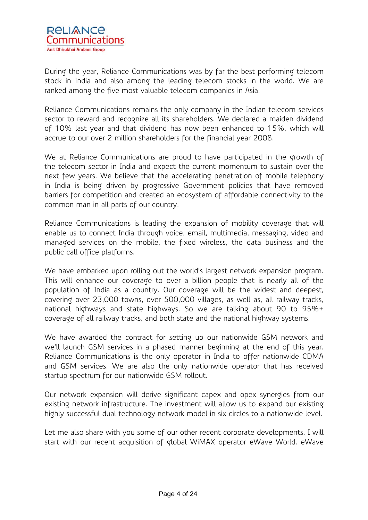During the year, Reliance Communications was by far the best performing telecom stock in India and also among the leading telecom stocks in the world. We are ranked among the five most valuable telecom companies in Asia.

Reliance Communications remains the only company in the Indian telecom services sector to reward and recognize all its shareholders. We declared a maiden dividend of 10% last year and that dividend has now been enhanced to 15%, which will accrue to our over 2 million shareholders for the financial year 2008.

We at Reliance Communications are proud to have participated in the growth of the telecom sector in India and expect the current momentum to sustain over the next few years. We believe that the accelerating penetration of mobile telephony in India is being driven by progressive Government policies that have removed barriers for competition and created an ecosystem of affordable connectivity to the common man in all parts of our country.

Reliance Communications is leading the expansion of mobility coverage that will enable us to connect India through voice, email, multimedia, messaging, video and managed services on the mobile, the fixed wireless, the data business and the public call office platforms.

We have embarked upon rolling out the world's largest network expansion program. This will enhance our coverage to over a billion people that is nearly all of the population of India as a country. Our coverage will be the widest and deepest, covering over 23,000 towns, over 500,000 villages, as well as, all railway tracks, national highways and state highways. So we are talking about 90 to 95%+ coverage of all railway tracks, and both state and the national highway systems.

We have awarded the contract for setting up our nationwide GSM network and we'll launch GSM services in a phased manner beginning at the end of this year. Reliance Communications is the only operator in India to offer nationwide CDMA and GSM services. We are also the only nationwide operator that has received startup spectrum for our nationwide GSM rollout.

Our network expansion will derive significant capex and opex synergies from our existing network infrastructure. The investment will allow us to expand our existing highly successful dual technology network model in six circles to a nationwide level.

Let me also share with you some of our other recent corporate developments. I will start with our recent acquisition of global WiMAX operator eWave World. eWave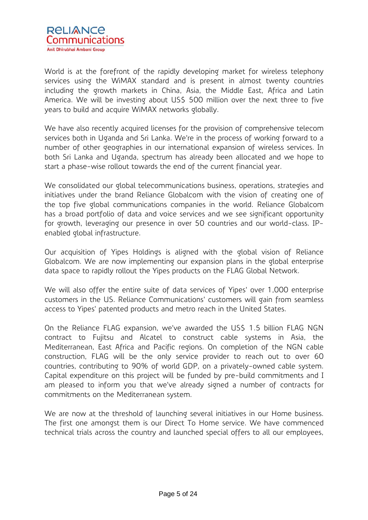

World is at the forefront of the rapidly developing market for wireless telephony services using the WiMAX standard and is present in almost twenty countries including the growth markets in China, Asia, the Middle East, Africa and Latin America. We will be investing about US\$ 500 million over the next three to five years to build and acquire WiMAX networks globally.

We have also recently acquired licenses for the provision of comprehensive telecom services both in Uganda and Sri Lanka. We're in the process of working forward to a number of other geographies in our international expansion of wireless services. In both Sri Lanka and Uganda, spectrum has already been allocated and we hope to start a phase-wise rollout towards the end of the current financial year.

We consolidated our global telecommunications business, operations, strategies and initiatives under the brand Reliance Globalcom with the vision of creating one of the top five global communications companies in the world. Reliance Globalcom has a broad portfolio of data and voice services and we see significant opportunity for growth, leveraging our presence in over 50 countries and our world-class. IPenabled global infrastructure.

Our acquisition of Yipes Holdings is aligned with the global vision of Reliance Globalcom. We are now implementing our expansion plans in the global enterprise data space to rapidly rollout the Yipes products on the FLAG Global Network.

We will also offer the entire suite of data services of Yipes' over 1,000 enterprise customers in the US. Reliance Communications' customers will gain from seamless access to Yipes' patented products and metro reach in the United States.

On the Reliance FLAG expansion, we've awarded the US\$ 1.5 billion FLAG NGN contract to Fujitsu and Alcatel to construct cable systems in Asia, the Mediterranean, East Africa and Pacific regions. On completion of the NGN cable construction, FLAG will be the only service provider to reach out to over 60 countries, contributing to 90% of world GDP, on a privately-owned cable system. Capital expenditure on this project will be funded by pre-build commitments and I am pleased to inform you that we've already signed a number of contracts for commitments on the Mediterranean system.

We are now at the threshold of launching several initiatives in our Home business. The first one amongst them is our Direct To Home service. We have commenced technical trials across the country and launched special offers to all our employees,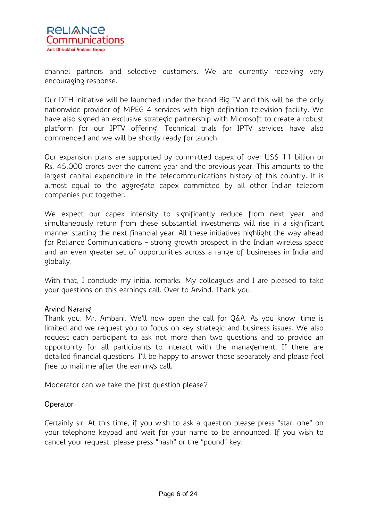

channel partners and selective customers. We are currently receiving very encouraging response.

Our DTH initiative will be launched under the brand Big TV and this will be the only nationwide provider of MPEG 4 services with high definition television facility. We have also signed an exclusive strategic partnership with Microsoft to create a robust platform for our IPTV offering. Technical trials for IPTV services have also commenced and we will be shortly ready for launch.

Our expansion plans are supported by committed capex of over US\$ 11 billion or Rs. 45,000 crores over the current year and the previous year. This amounts to the largest capital expenditure in the telecommunications history of this country. It is almost equal to the aggregate capex committed by all other Indian telecom companies put together.

We expect our capex intensity to significantly reduce from next year, and simultaneously return from these substantial investments will rise in a significant manner starting the next financial year. All these initiatives highlight the way ahead for Reliance Communications – strong growth prospect in the Indian wireless space and an even greater set of opportunities across a range of businesses in India and globally.

With that, I conclude my initial remarks. My colleagues and I are pleased to take your questions on this earnings call. Over to Arvind. Thank you.

### Arvind Narang

Thank you, Mr. Ambani. We'll now open the call for Q&A. As you know, time is limited and we request you to focus on key strategic and business issues. We also request each participant to ask not more than two questions and to provide an opportunity for all participants to interact with the management. If there are detailed financial questions, I'll be happy to answer those separately and please feel free to mail me after the earnings call.

Moderator can we take the first question please?

# Operator:

Certainly sir. At this time, if you wish to ask a question please press "star, one" on your telephone keypad and wait for your name to be announced. If you wish to cancel your request, please press "hash" or the "pound" key.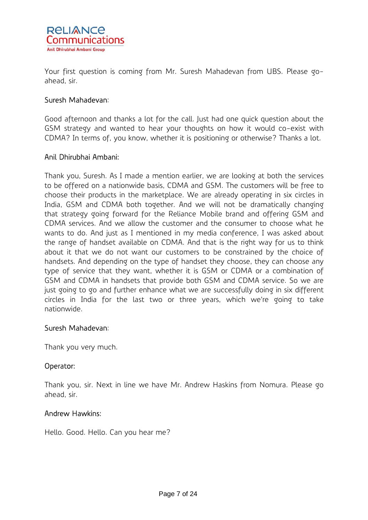

Your first question is coming from Mr. Suresh Mahadevan from UBS. Please goahead, sir.

# Suresh Mahadevan:

Good afternoon and thanks a lot for the call. Just had one quick question about the GSM strategy and wanted to hear your thoughts on how it would co-exist with CDMA? In terms of, you know, whether it is positioning or otherwise? Thanks a lot.

# Anil Dhirubhai Ambani:

Thank you, Suresh. As I made a mention earlier, we are looking at both the services to be offered on a nationwide basis, CDMA and GSM. The customers will be free to choose their products in the marketplace. We are already operating in six circles in India, GSM and CDMA both together. And we will not be dramatically changing that strategy going forward for the Reliance Mobile brand and offering GSM and CDMA services. And we allow the customer and the consumer to choose what he wants to do. And just as I mentioned in my media conference, I was asked about the range of handset available on CDMA. And that is the right way for us to think about it that we do not want our customers to be constrained by the choice of handsets. And depending on the type of handset they choose, they can choose any type of service that they want, whether it is GSM or CDMA or a combination of GSM and CDMA in handsets that provide both GSM and CDMA service. So we are just going to go and further enhance what we are successfully doing in six different circles in India for the last two or three years, which we're going to take nationwide.

### Suresh Mahadevan:

Thank you very much.

# Operator:

Thank you, sir. Next in line we have Mr. Andrew Haskins from Nomura. Please go ahead, sir.

# Andrew Hawkins:

Hello. Good. Hello. Can you hear me?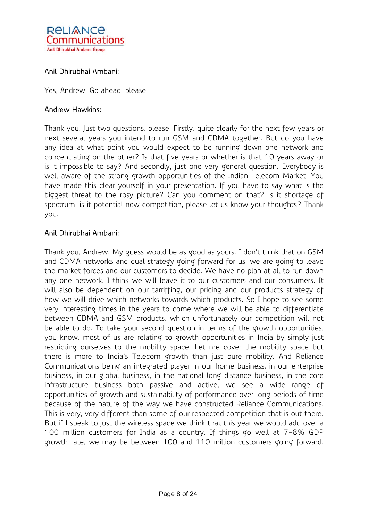

Yes, Andrew. Go ahead, please.

### Andrew Hawkins:

Thank you. Just two questions, please. Firstly, quite clearly for the next few years or next several years you intend to run GSM and CDMA together. But do you have any idea at what point you would expect to be running down one network and concentrating on the other? Is that five years or whether is that 10 years away or is it impossible to say? And secondly, just one very general question. Everybody is well aware of the strong growth opportunities of the Indian Telecom Market. You have made this clear yourself in your presentation. If you have to say what is the biggest threat to the rosy picture? Can you comment on that? Is it shortage of spectrum, is it potential new competition, please let us know your thoughts? Thank you.

### Anil Dhirubhai Ambani:

Thank you, Andrew. My guess would be as good as yours. I don't think that on GSM and CDMA networks and dual strategy going forward for us, we are going to leave the market forces and our customers to decide. We have no plan at all to run down any one network. I think we will leave it to our customers and our consumers. It will also be dependent on our tarriffing, our pricing and our products strategy of how we will drive which networks towards which products. So I hope to see some very interesting times in the years to come where we will be able to differentiate between CDMA and GSM products, which unfortunately our competition will not be able to do. To take your second question in terms of the growth opportunities, you know, most of us are relating to growth opportunities in India by simply just restricting ourselves to the mobility space. Let me cover the mobility space but there is more to India's Telecom growth than just pure mobility. And Reliance Communications being an integrated player in our home business, in our enterprise business, in our global business, in the national long distance business, in the core infrastructure business both passive and active, we see a wide range of opportunities of growth and sustainability of performance over long periods of time because of the nature of the way we have constructed Reliance Communications. This is very, very different than some of our respected competition that is out there. But if I speak to just the wireless space we think that this year we would add over a 100 million customers for India as a country. If things go well at 7-8% GDP growth rate, we may be between 100 and 110 million customers going forward.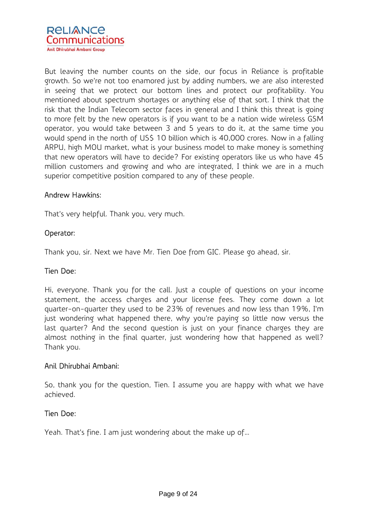

But leaving the number counts on the side, our focus in Reliance is profitable growth. So we're not too enamored just by adding numbers, we are also interested in seeing that we protect our bottom lines and protect our profitability. You mentioned about spectrum shortages or anything else of that sort. I think that the risk that the Indian Telecom sector faces in general and I think this threat is going to more felt by the new operators is if you want to be a nation wide wireless GSM operator, you would take between 3 and 5 years to do it, at the same time you would spend in the north of US\$ 10 billion which is 40,000 crores. Now in a falling ARPU, high MOU market, what is your business model to make money is something that new operators will have to decide? For existing operators like us who have 45 million customers and growing and who are integrated, I think we are in a much superior competitive position compared to any of these people.

### Andrew Hawkins:

That's very helpful. Thank you, very much.

### Operator:

Thank you, sir. Next we have Mr. Tien Doe from GIC. Please go ahead, sir.

### Tien Doe:

Hi, everyone. Thank you for the call. Just a couple of questions on your income statement, the access charges and your license fees. They come down a lot quarter-on-quarter they used to be 23% of revenues and now less than 19%, I'm just wondering what happened there, why you're paying so little now versus the last quarter? And the second question is just on your finance charges they are almost nothing in the final quarter, just wondering how that happened as well? Thank you.

# Anil Dhirubhai Ambani:

So, thank you for the question, Tien. I assume you are happy with what we have achieved.

### Tien Doe:

Yeah. That's fine. I am just wondering about the make up of…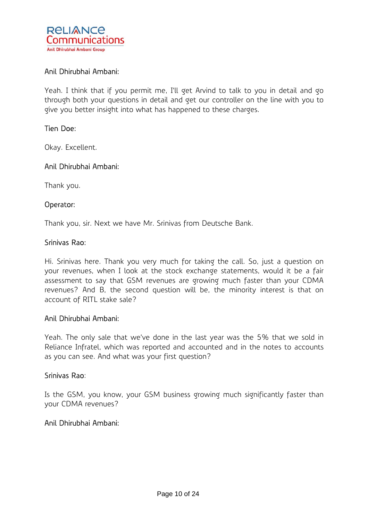

Yeah. I think that if you permit me, I'll get Arvind to talk to you in detail and go through both your questions in detail and get our controller on the line with you to give you better insight into what has happened to these charges.

### Tien Doe:

Okay. Excellent.

### Anil Dhirubhai Ambani:

Thank you.

### Operator:

Thank you, sir. Next we have Mr. Srinivas from Deutsche Bank.

### Srinivas Rao:

Hi. Srinivas here. Thank you very much for taking the call. So, just a question on your revenues, when I look at the stock exchange statements, would it be a fair assessment to say that GSM revenues are growing much faster than your CDMA revenues? And B, the second question will be, the minority interest is that on account of RITL stake sale?

### Anil Dhirubhai Ambani:

Yeah. The only sale that we've done in the last year was the 5% that we sold in Reliance Infratel, which was reported and accounted and in the notes to accounts as you can see. And what was your first question?

### Srinivas Rao:

Is the GSM, you know, your GSM business growing much significantly faster than your CDMA revenues?

### Anil Dhirubhai Ambani: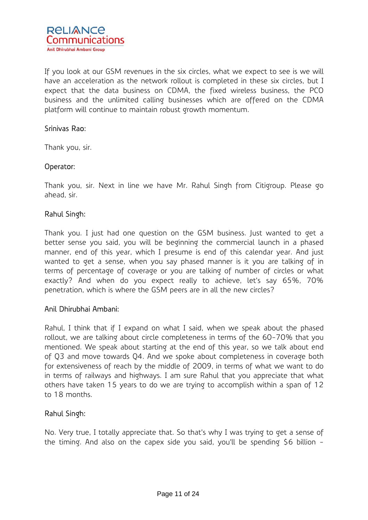

If you look at our GSM revenues in the six circles, what we expect to see is we will have an acceleration as the network rollout is completed in these six circles, but I expect that the data business on CDMA, the fixed wireless business, the PCO business and the unlimited calling businesses which are offered on the CDMA platform will continue to maintain robust growth momentum.

### Srinivas Rao:

Thank you, sir.

# Operator:

Thank you, sir. Next in line we have Mr. Rahul Singh from Citigroup. Please go ahead, sir.

# Rahul Singh:

Thank you. I just had one question on the GSM business. Just wanted to get a better sense you said, you will be beginning the commercial launch in a phased manner, end of this year, which I presume is end of this calendar year. And just wanted to get a sense, when you say phased manner is it you are talking of in terms of percentage of coverage or you are talking of number of circles or what exactly? And when do you expect really to achieve, let's say 65%, 70% penetration, which is where the GSM peers are in all the new circles?

### Anil Dhirubhai Ambani:

Rahul, I think that if I expand on what I said, when we speak about the phased rollout, we are talking about circle completeness in terms of the 60-70% that you mentioned. We speak about starting at the end of this year, so we talk about end of Q3 and move towards Q4. And we spoke about completeness in coverage both for extensiveness of reach by the middle of 2009, in terms of what we want to do in terms of railways and highways. I am sure Rahul that you appreciate that what others have taken 15 years to do we are trying to accomplish within a span of 12 to 18 months.

# Rahul Singh:

No. Very true, I totally appreciate that. So that's why I was trying to get a sense of the timing. And also on the capex side you said, you'll be spending \$6 billion -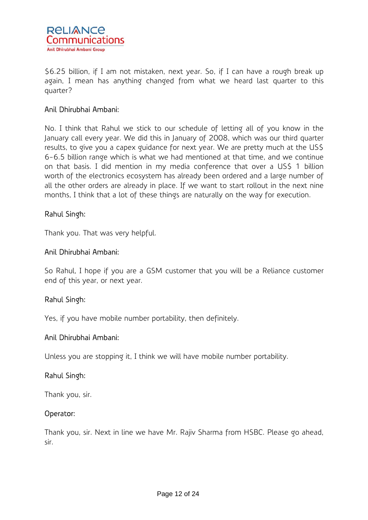

\$6.25 billion, if I am not mistaken, next year. So, if I can have a rough break up again, I mean has anything changed from what we heard last quarter to this quarter?

# Anil Dhirubhai Ambani:

No. I think that Rahul we stick to our schedule of letting all of you know in the January call every year. We did this in January of 2008, which was our third quarter results, to give you a capex guidance for next year. We are pretty much at the US\$ 6-6.5 billion range which is what we had mentioned at that time, and we continue on that basis. I did mention in my media conference that over a US\$ 1 billion worth of the electronics ecosystem has already been ordered and a large number of all the other orders are already in place. If we want to start rollout in the next nine months, I think that a lot of these things are naturally on the way for execution.

# Rahul Singh:

Thank you. That was very helpful.

### Anil Dhirubhai Ambani:

So Rahul, I hope if you are a GSM customer that you will be a Reliance customer end of this year, or next year.

# Rahul Singh:

Yes, if you have mobile number portability, then definitely.

### Anil Dhirubhai Ambani:

Unless you are stopping it, I think we will have mobile number portability.

# Rahul Singh:

Thank you, sir.

### Operator:

Thank you, sir. Next in line we have Mr. Rajiv Sharma from HSBC. Please go ahead, sir.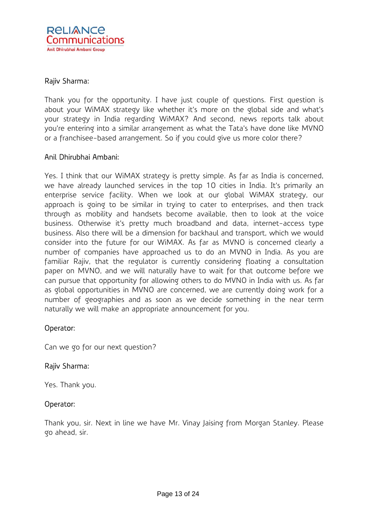

### Rajiv Sharma:

Thank you for the opportunity. I have just couple of questions. First question is about your WiMAX strategy like whether it's more on the global side and what's your strategy in India regarding WiMAX? And second, news reports talk about you're entering into a similar arrangement as what the Tata's have done like MVNO or a franchisee-based arrangement. So if you could give us more color there?

### Anil Dhirubhai Ambani:

Yes. I think that our WiMAX strategy is pretty simple. As far as India is concerned, we have already launched services in the top 10 cities in India. It's primarily an enterprise service facility. When we look at our global WiMAX strategy, our approach is going to be similar in trying to cater to enterprises, and then track through as mobility and handsets become available, then to look at the voice business. Otherwise it's pretty much broadband and data, internet-access type business. Also there will be a dimension for backhaul and transport, which we would consider into the future for our WiMAX. As far as MVNO is concerned clearly a number of companies have approached us to do an MVNO in India. As you are familiar Rajiv, that the regulator is currently considering floating a consultation paper on MVNO, and we will naturally have to wait for that outcome before we can pursue that opportunity for allowing others to do MVNO in India with us. As far as global opportunities in MVNO are concerned, we are currently doing work for a number of geographies and as soon as we decide something in the near term naturally we will make an appropriate announcement for you.

# Operator:

Can we go for our next question?

### Rajiv Sharma:

Yes. Thank you.

### Operator:

Thank you, sir. Next in line we have Mr. Vinay Jaising from Morgan Stanley. Please go ahead, sir.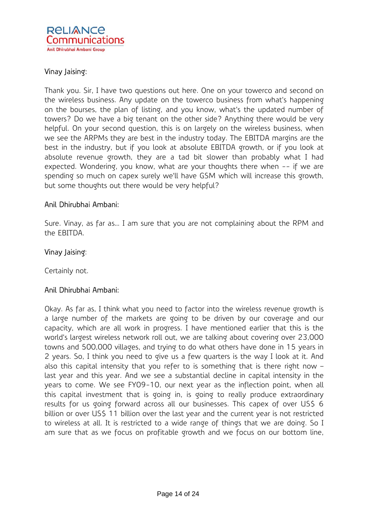

# Vinay Jaising:

Thank you. Sir, I have two questions out here. One on your towerco and second on the wireless business. Any update on the towerco business from what's happening on the bourses, the plan of listing, and you know, what's the updated number of towers? Do we have a big tenant on the other side? Anything there would be very helpful. On your second question, this is on largely on the wireless business, when we see the ARPMs they are best in the industry today. The EBITDA margins are the best in the industry, but if you look at absolute EBITDA growth, or if you look at absolute revenue growth, they are a tad bit slower than probably what I had expected. Wondering, you know, what are your thoughts there when -- if we are spending so much on capex surely we'll have GSM which will increase this growth, but some thoughts out there would be very helpful?

# Anil Dhirubhai Ambani:

Sure. Vinay, as far as… I am sure that you are not complaining about the RPM and the EBITDA.

### Vinay Jaising:

Certainly not.

# Anil Dhirubhai Ambani:

Okay. As far as, I think what you need to factor into the wireless revenue growth is a large number of the markets are going to be driven by our coverage and our capacity, which are all work in progress. I have mentioned earlier that this is the world's largest wireless network roll out, we are talking about covering over 23,000 towns and 500,000 villages, and trying to do what others have done in 15 years in 2 years. So, I think you need to give us a few quarters is the way I look at it. And also this capital intensity that you refer to is something that is there right now – last year and this year. And we see a substantial decline in capital intensity in the years to come. We see FY09-10, our next year as the inflection point, when all this capital investment that is going in, is going to really produce extraordinary results for us going forward across all our businesses. This capex of over US\$ 6 billion or over US\$ 11 billion over the last year and the current year is not restricted to wireless at all. It is restricted to a wide range of things that we are doing. So I am sure that as we focus on profitable growth and we focus on our bottom line,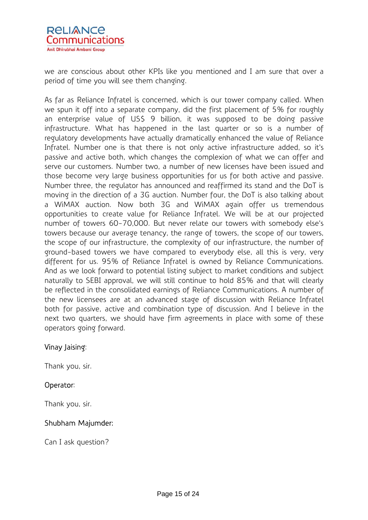

we are conscious about other KPIs like you mentioned and I am sure that over a period of time you will see them changing.

As far as Reliance Infratel is concerned, which is our tower company called. When we spun it off into a separate company, did the first placement of 5% for roughly an enterprise value of US\$ 9 billion, it was supposed to be doing passive infrastructure. What has happened in the last quarter or so is a number of regulatory developments have actually dramatically enhanced the value of Reliance Infratel. Number one is that there is not only active infrastructure added, so it's passive and active both, which changes the complexion of what we can offer and serve our customers. Number two, a number of new licenses have been issued and those become very large business opportunities for us for both active and passive. Number three, the regulator has announced and reaffirmed its stand and the DoT is moving in the direction of a 3G auction. Number four, the DoT is also talking about a WiMAX auction. Now both 3G and WiMAX again offer us tremendous opportunities to create value for Reliance Infratel. We will be at our projected number of towers 60-70,000. But never relate our towers with somebody else's towers because our average tenancy, the range of towers, the scope of our towers, the scope of our infrastructure, the complexity of our infrastructure, the number of ground-based towers we have compared to everybody else, all this is very, very different for us. 95% of Reliance Infratel is owned by Reliance Communications. And as we look forward to potential listing subject to market conditions and subject naturally to SEBI approval, we will still continue to hold 85% and that will clearly be reflected in the consolidated earnings of Reliance Communications. A number of the new licensees are at an advanced stage of discussion with Reliance Infratel both for passive, active and combination type of discussion. And I believe in the next two quarters, we should have firm agreements in place with some of these operators going forward.

# Vinay Jaising:

Thank you, sir.

# Operator:

Thank you, sir.

# Shubham Majumder:

Can I ask question?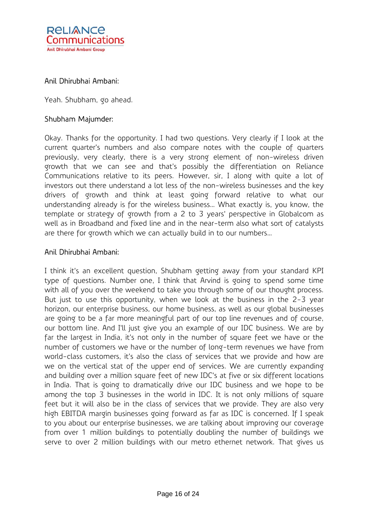

Yeah. Shubham, go ahead.

### Shubham Majumder:

Okay. Thanks for the opportunity. I had two questions. Very clearly if I look at the current quarter's numbers and also compare notes with the couple of quarters previously, very clearly, there is a very strong element of non-wireless driven growth that we can see and that's possibly the differentiation on Reliance Communications relative to its peers. However, sir, I along with quite a lot of investors out there understand a lot less of the non-wireless businesses and the key drivers of growth and think at least going forward relative to what our understanding already is for the wireless business… What exactly is, you know, the template or strategy of growth from a 2 to 3 years' perspective in Globalcom as well as in Broadband and fixed line and in the near-term also what sort of catalysts are there for growth which we can actually build in to our numbers…

### Anil Dhirubhai Ambani:

I think it's an excellent question, Shubham getting away from your standard KPI type of questions. Number one, I think that Arvind is going to spend some time with all of you over the weekend to take you through some of our thought process. But just to use this opportunity, when we look at the business in the 2-3 year horizon, our enterprise business, our home business, as well as our global businesses are going to be a far more meaningful part of our top line revenues and of course, our bottom line. And I'll just give you an example of our IDC business. We are by far the largest in India, it's not only in the number of square feet we have or the number of customers we have or the number of long-term revenues we have from world-class customers, it's also the class of services that we provide and how are we on the vertical stat of the upper end of services. We are currently expanding and building over a million square feet of new IDC's at five or six different locations in India. That is going to dramatically drive our IDC business and we hope to be among the top 3 businesses in the world in IDC. It is not only millions of square feet but it will also be in the class of services that we provide. They are also very high EBITDA margin businesses going forward as far as IDC is concerned. If I speak to you about our enterprise businesses, we are talking about improving our coverage from over 1 million buildings to potentially doubling the number of buildings we serve to over 2 million buildings with our metro ethernet network. That gives us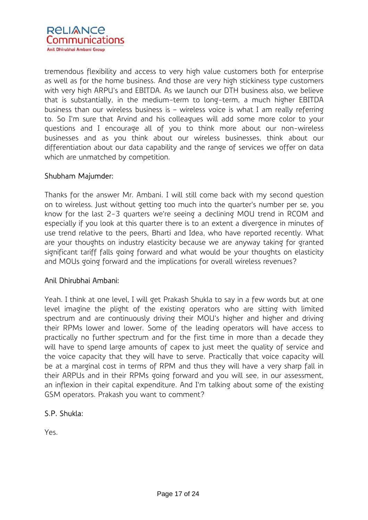

tremendous flexibility and access to very high value customers both for enterprise as well as for the home business. And those are very high stickiness type customers with very high ARPU's and EBITDA. As we launch our DTH business also, we believe that is substantially, in the medium-term to long-term, a much higher EBITDA business than our wireless business is – wireless voice is what I am really referring to. So I'm sure that Arvind and his colleagues will add some more color to your questions and I encourage all of you to think more about our non-wireless businesses and as you think about our wireless businesses, think about our differentiation about our data capability and the range of services we offer on data which are unmatched by competition.

# Shubham Majumder:

Thanks for the answer Mr. Ambani. I will still come back with my second question on to wireless. Just without getting too much into the quarter's number per se, you know for the last 2-3 quarters we're seeing a declining MOU trend in RCOM and especially if you look at this quarter there is to an extent a divergence in minutes of use trend relative to the peers, Bharti and Idea, who have reported recently. What are your thoughts on industry elasticity because we are anyway taking for granted significant tariff falls going forward and what would be your thoughts on elasticity and MOUs going forward and the implications for overall wireless revenues?

# Anil Dhirubhai Ambani:

Yeah. I think at one level, I will get Prakash Shukla to say in a few words but at one level imagine the plight of the existing operators who are sitting with limited spectrum and are continuously driving their MOU's higher and higher and driving their RPMs lower and lower. Some of the leading operators will have access to practically no further spectrum and for the first time in more than a decade they will have to spend large amounts of capex to just meet the quality of service and the voice capacity that they will have to serve. Practically that voice capacity will be at a marginal cost in terms of RPM and thus they will have a very sharp fall in their ARPUs and in their RPMs going forward and you will see, in our assessment, an inflexion in their capital expenditure. And I'm talking about some of the existing GSM operators. Prakash you want to comment?

# S.P. Shukla:

Yes.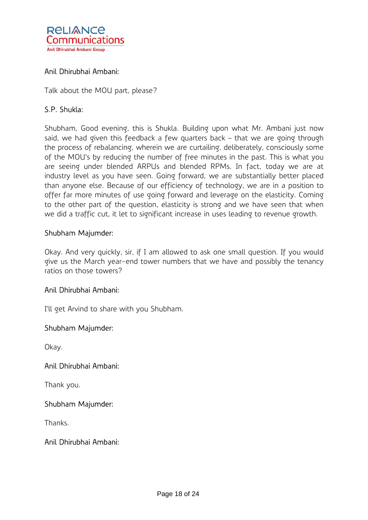

Talk about the MOU part, please?

# S.P. Shukla:

Shubham, Good evening, this is Shukla. Building upon what Mr. Ambani just now said, we had given this feedback a few quarters back – that we are going through the process of rebalancing, wherein we are curtailing, deliberately, consciously some of the MOU's by reducing the number of free minutes in the past. This is what you are seeing under blended ARPUs and blended RPMs. In fact, today we are at industry level as you have seen. Going forward, we are substantially better placed than anyone else. Because of our efficiency of technology, we are in a position to offer far more minutes of use going forward and leverage on the elasticity. Coming to the other part of the question, elasticity is strong and we have seen that when we did a traffic cut, it let to significant increase in uses leading to revenue growth.

### Shubham Majumder:

Okay. And very quickly, sir, if I am allowed to ask one small question. If you would give us the March year-end tower numbers that we have and possibly the tenancy ratios on those towers?

# Anil Dhirubhai Ambani:

I'll get Arvind to share with you Shubham.

### Shubham Majumder:

Okay.

# Anil Dhirubhai Ambani:

Thank you.

### Shubham Majumder:

Thanks.

### Anil Dhirubhai Ambani: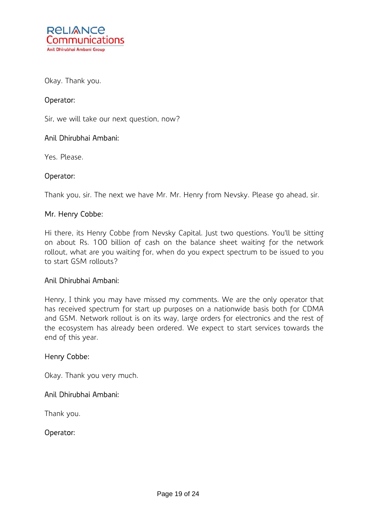

Okay. Thank you.

# Operator:

Sir, we will take our next question, now?

### Anil Dhirubhai Ambani:

Yes. Please.

# Operator:

Thank you, sir. The next we have Mr. Mr. Henry from Nevsky. Please go ahead, sir.

# Mr. Henry Cobbe:

Hi there, its Henry Cobbe from Nevsky Capital. Just two questions. You'll be sitting on about Rs. 100 billion of cash on the balance sheet waiting for the network rollout, what are you waiting for, when do you expect spectrum to be issued to you to start GSM rollouts?

### Anil Dhirubhai Ambani:

Henry, I think you may have missed my comments. We are the only operator that has received spectrum for start up purposes on a nationwide basis both for CDMA and GSM. Network rollout is on its way, large orders for electronics and the rest of the ecosystem has already been ordered. We expect to start services towards the end of this year.

### Henry Cobbe:

Okay. Thank you very much.

# Anil Dhirubhai Ambani:

Thank you.

# Operator: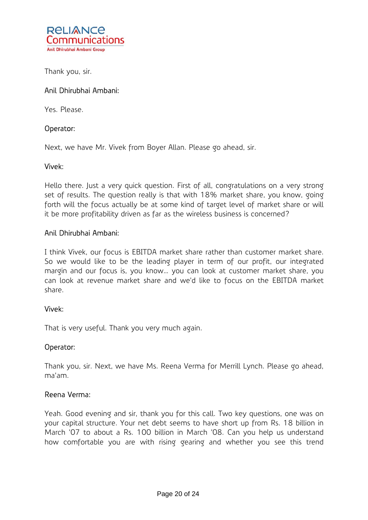

Thank you, sir.

# Anil Dhirubhai Ambani:

Yes. Please.

# Operator:

Next, we have Mr. Vivek from Boyer Allan. Please go ahead, sir.

### Vivek:

Hello there. Just a very quick question. First of all, congratulations on a very strong set of results. The question really is that with 18% market share, you know, going forth will the focus actually be at some kind of target level of market share or will it be more profitability driven as far as the wireless business is concerned?

### Anil Dhirubhai Ambani:

I think Vivek, our focus is EBITDA market share rather than customer market share. So we would like to be the leading player in term of our profit, our integrated margin and our focus is, you know… you can look at customer market share, you can look at revenue market share and we'd like to focus on the EBITDA market share.

### Vivek:

That is very useful. Thank you very much again.

# Operator:

Thank you, sir. Next, we have Ms. Reena Verma for Merrill Lynch. Please go ahead, ma'am.

# Reena Verma:

Yeah. Good evening and sir, thank you for this call. Two key questions, one was on your capital structure. Your net debt seems to have short up from Rs. 18 billion in March '07 to about a Rs. 100 billion in March '08. Can you help us understand how comfortable you are with rising gearing and whether you see this trend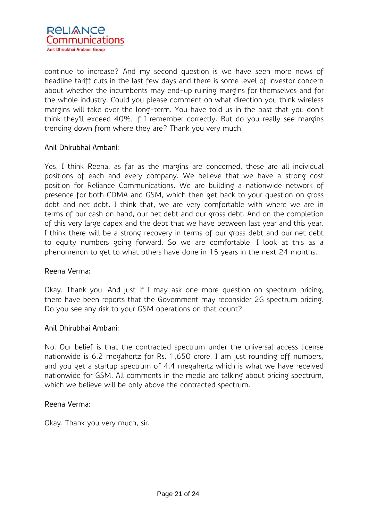

continue to increase? And my second question is we have seen more news of headline tariff cuts in the last few days and there is some level of investor concern about whether the incumbents may end-up ruining margins for themselves and for the whole industry. Could you please comment on what direction you think wireless margins will take over the long-term. You have told us in the past that you don't think they'll exceed 40%, if I remember correctly. But do you really see margins trending down from where they are? Thank you very much.

# Anil Dhirubhai Ambani:

Yes. I think Reena, as far as the margins are concerned, these are all individual positions of each and every company. We believe that we have a strong cost position for Reliance Communications. We are building a nationwide network of presence for both CDMA and GSM, which then get back to your question on gross debt and net debt. I think that, we are very comfortable with where we are in terms of our cash on hand, our net debt and our gross debt. And on the completion of this very large capex and the debt that we have between last year and this year, I think there will be a strong recovery in terms of our gross debt and our net debt to equity numbers going forward. So we are comfortable, I look at this as a phenomenon to get to what others have done in 15 years in the next 24 months.

### Reena Verma:

Okay. Thank you. And just if I may ask one more question on spectrum pricing, there have been reports that the Government may reconsider 2G spectrum pricing. Do you see any risk to your GSM operations on that count?

### Anil Dhirubhai Ambani:

No. Our belief is that the contracted spectrum under the universal access license nationwide is 6.2 megahertz for Rs. 1,650 crore, I am just rounding off numbers, and you get a startup spectrum of 4.4 megahertz which is what we have received nationwide for GSM. All comments in the media are talking about pricing spectrum, which we believe will be only above the contracted spectrum.

### Reena Verma:

Okay. Thank you very much, sir.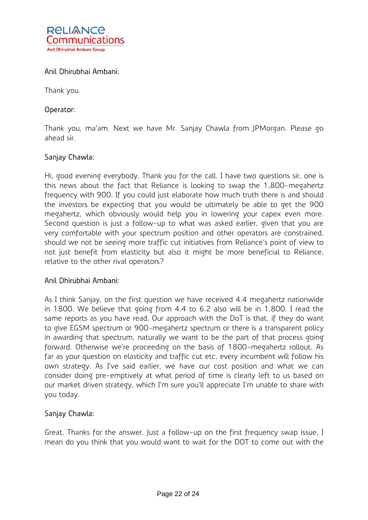

Thank you.

# Operator:

Thank you, ma'am. Next we have Mr. Sanjay Chawla from JPMorgan. Please go ahead sir.

# Sanjay Chawla:

Hi, good evening everybody. Thank you for the call. I have two questions sir, one is this news about the fact that Reliance is looking to swap the 1,800-megahertz frequency with 900. If you could just elaborate how much truth there is and should the investors be expecting that you would be ultimately be able to get the 900 megahertz, which obviously would help you in lowering your capex even more. Second question is just a follow-up to what was asked earlier, given that you are very comfortable with your spectrum position and other operators are constrained, should we not be seeing more traffic cut initiatives from Reliance's point of view to not just benefit from elasticity but also it might be more beneficial to Reliance, relative to the other rival operators?

# Anil Dhirubhai Ambani:

As I think Sanjay, on the first question we have received 4.4 megahertz nationwide in 1800. We believe that going from 4.4 to 6.2 also will be in 1,800. I read the same reports as you have read. Our approach with the DoT is that, if they do want to give EGSM spectrum or 900-megahertz spectrum or there is a transparent policy in awarding that spectrum, naturally we want to be the part of that process going forward. Otherwise we're proceeding on the basis of 1800-megahertz rollout. As far as your question on elasticity and traffic cut etc, every incumbent will follow his own strategy. As I've said earlier, we have our cost position and what we can consider doing pre-emptively at what period of time is clearly left to us based on our market driven strategy, which I'm sure you'll appreciate I'm unable to share with you today.

# Sanjay Chawla:

Great. Thanks for the answer. Just a follow-up on the first frequency swap issue, I mean do you think that you would want to wait for the DOT to come out with the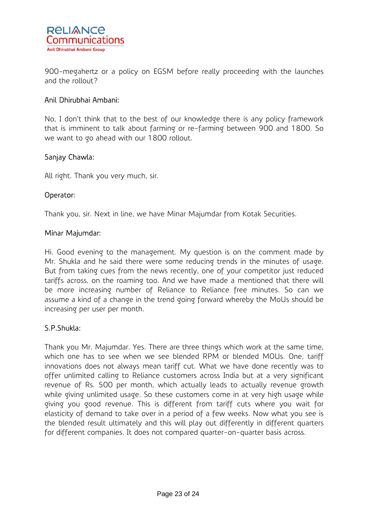

900-megahertz or a policy on EGSM before really proceeding with the launches and the rollout?

# Anil Dhirubhai Ambani:

No, I don't think that to the best of our knowledge there is any policy framework that is imminent to talk about farming or re-farming between 900 and 1800. So we want to go ahead with our 1800 rollout.

# Sanjay Chawla:

All right. Thank you very much, sir.

# Operator:

Thank you, sir. Next in line, we have Minar Majumdar from Kotak Securities.

### Minar Majumdar:

Hi. Good evening to the management. My question is on the comment made by Mr. Shukla and he said there were some reducing trends in the minutes of usage. But from taking cues from the news recently, one of your competitor just reduced tariffs across, on the roaming too. And we have made a mentioned that there will be more increasing number of Reliance to Reliance free minutes. So can we assume a kind of a change in the trend going forward whereby the MoUs should be increasing per user per month.

# S.P.Shukla:

Thank you Mr. Majumdar. Yes. There are three things which work at the same time, which one has to see when we see blended RPM or blended MOUs. One, tariff innovations does not always mean tariff cut. What we have done recently was to offer unlimited calling to Reliance customers across India but at a very significant revenue of Rs. 500 per month, which actually leads to actually revenue growth while giving unlimited usage. So these customers come in at very high usage while giving you good revenue. This is different from tariff cuts where you wait for elasticity of demand to take over in a period of a few weeks. Now what you see is the blended result ultimately and this will play out differently in different quarters for different companies. It does not compared quarter-on-quarter basis across.